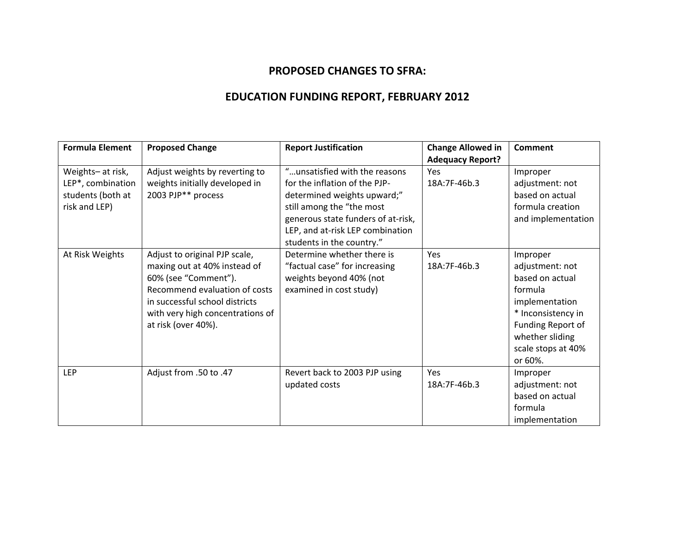## **PROPOSED CHANGES TO SFRA:**

## **EDUCATION FUNDING REPORT, FEBRUARY 2012**

| <b>Formula Element</b> | <b>Proposed Change</b>           | <b>Report Justification</b>        | <b>Change Allowed in</b> | <b>Comment</b>     |
|------------------------|----------------------------------|------------------------------------|--------------------------|--------------------|
|                        |                                  |                                    | <b>Adequacy Report?</b>  |                    |
| Weights- at risk,      | Adjust weights by reverting to   | "unsatisfied with the reasons      | Yes                      | Improper           |
| LEP*, combination      | weights initially developed in   | for the inflation of the PJP-      | 18A:7F-46b.3             | adjustment: not    |
| students (both at      | 2003 PJP** process               | determined weights upward;"        |                          | based on actual    |
| risk and LEP)          |                                  | still among the "the most          |                          | formula creation   |
|                        |                                  | generous state funders of at-risk, |                          | and implementation |
|                        |                                  | LEP, and at-risk LEP combination   |                          |                    |
|                        |                                  | students in the country."          |                          |                    |
| At Risk Weights        | Adjust to original PJP scale,    | Determine whether there is         | Yes                      | Improper           |
|                        | maxing out at 40% instead of     | "factual case" for increasing      | 18A:7F-46b.3             | adjustment: not    |
|                        | 60% (see "Comment").             | weights beyond 40% (not            |                          | based on actual    |
|                        | Recommend evaluation of costs    | examined in cost study)            |                          | formula            |
|                        | in successful school districts   |                                    |                          | implementation     |
|                        | with very high concentrations of |                                    |                          | * Inconsistency in |
|                        | at risk (over 40%).              |                                    |                          | Funding Report of  |
|                        |                                  |                                    |                          | whether sliding    |
|                        |                                  |                                    |                          | scale stops at 40% |
|                        |                                  |                                    |                          | or 60%.            |
| <b>LEP</b>             | Adjust from .50 to .47           | Revert back to 2003 PJP using      | Yes                      | Improper           |
|                        |                                  | updated costs                      | 18A:7F-46b.3             | adjustment: not    |
|                        |                                  |                                    |                          | based on actual    |
|                        |                                  |                                    |                          | formula            |
|                        |                                  |                                    |                          | implementation     |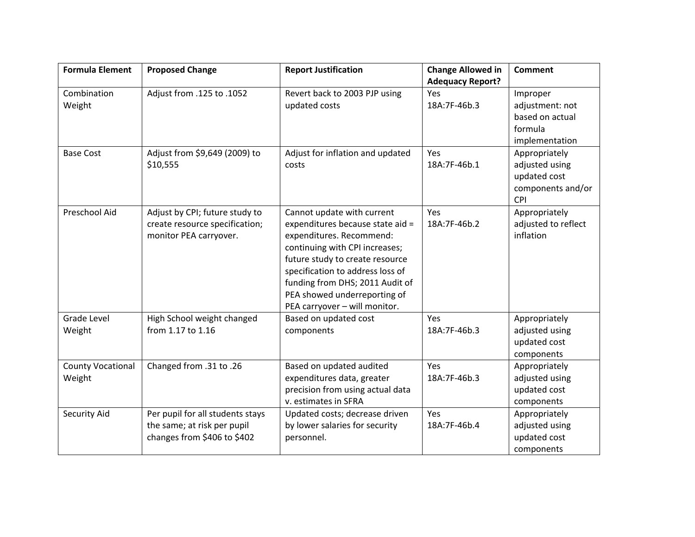| <b>Formula Element</b>             | <b>Proposed Change</b>                                                                         | <b>Report Justification</b>                                                                                                                                                                                                                                                                             | <b>Change Allowed in</b> | <b>Comment</b>                                                                     |
|------------------------------------|------------------------------------------------------------------------------------------------|---------------------------------------------------------------------------------------------------------------------------------------------------------------------------------------------------------------------------------------------------------------------------------------------------------|--------------------------|------------------------------------------------------------------------------------|
|                                    |                                                                                                |                                                                                                                                                                                                                                                                                                         | <b>Adequacy Report?</b>  |                                                                                    |
| Combination<br>Weight              | Adjust from .125 to .1052                                                                      | Revert back to 2003 PJP using<br>updated costs                                                                                                                                                                                                                                                          | Yes<br>18A:7F-46b.3      | Improper<br>adjustment: not<br>based on actual<br>formula<br>implementation        |
| <b>Base Cost</b>                   | Adjust from \$9,649 (2009) to<br>\$10,555                                                      | Adjust for inflation and updated<br>costs                                                                                                                                                                                                                                                               | Yes<br>18A:7F-46b.1      | Appropriately<br>adjusted using<br>updated cost<br>components and/or<br><b>CPI</b> |
| Preschool Aid                      | Adjust by CPI; future study to<br>create resource specification;<br>monitor PEA carryover.     | Cannot update with current<br>expenditures because state aid =<br>expenditures. Recommend:<br>continuing with CPI increases;<br>future study to create resource<br>specification to address loss of<br>funding from DHS; 2011 Audit of<br>PEA showed underreporting of<br>PEA carryover - will monitor. | Yes<br>18A:7F-46b.2      | Appropriately<br>adjusted to reflect<br>inflation                                  |
| <b>Grade Level</b><br>Weight       | High School weight changed<br>from 1.17 to 1.16                                                | Based on updated cost<br>components                                                                                                                                                                                                                                                                     | Yes<br>18A:7F-46b.3      | Appropriately<br>adjusted using<br>updated cost<br>components                      |
| <b>County Vocational</b><br>Weight | Changed from .31 to .26                                                                        | Based on updated audited<br>expenditures data, greater<br>precision from using actual data<br>v. estimates in SFRA                                                                                                                                                                                      | Yes<br>18A:7F-46b.3      | Appropriately<br>adjusted using<br>updated cost<br>components                      |
| Security Aid                       | Per pupil for all students stays<br>the same; at risk per pupil<br>changes from \$406 to \$402 | Updated costs; decrease driven<br>by lower salaries for security<br>personnel.                                                                                                                                                                                                                          | Yes<br>18A:7F-46b.4      | Appropriately<br>adjusted using<br>updated cost<br>components                      |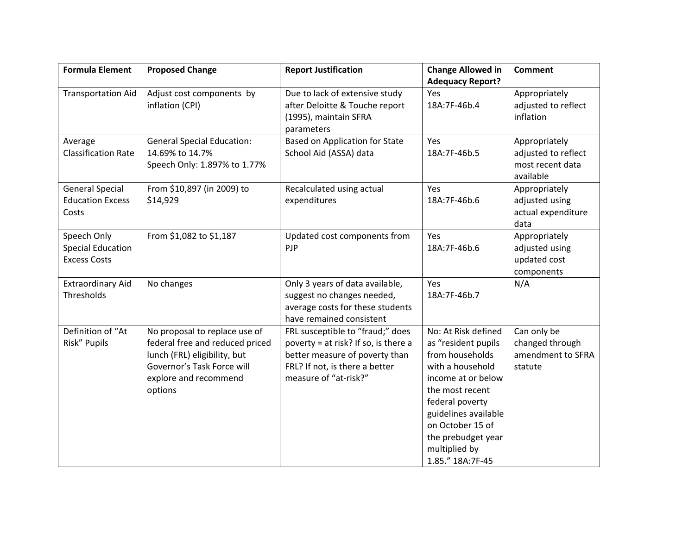| <b>Formula Element</b>     | <b>Proposed Change</b>            | <b>Report Justification</b>                                  | <b>Change Allowed in</b> | <b>Comment</b>      |
|----------------------------|-----------------------------------|--------------------------------------------------------------|--------------------------|---------------------|
|                            |                                   |                                                              | <b>Adequacy Report?</b>  |                     |
| <b>Transportation Aid</b>  | Adjust cost components by         | Due to lack of extensive study                               | Yes                      | Appropriately       |
|                            | inflation (CPI)                   | after Deloitte & Touche report                               | 18A:7F-46b.4             | adjusted to reflect |
|                            |                                   | (1995), maintain SFRA                                        |                          | inflation           |
|                            |                                   | parameters                                                   |                          |                     |
| Average                    | <b>General Special Education:</b> | <b>Based on Application for State</b>                        | Yes                      | Appropriately       |
| <b>Classification Rate</b> | 14.69% to 14.7%                   | School Aid (ASSA) data                                       | 18A:7F-46b.5             | adjusted to reflect |
|                            | Speech Only: 1.897% to 1.77%      |                                                              |                          | most recent data    |
|                            |                                   |                                                              |                          | available           |
| <b>General Special</b>     | From \$10,897 (in 2009) to        | Recalculated using actual                                    | Yes                      | Appropriately       |
| <b>Education Excess</b>    | \$14,929                          | expenditures                                                 | 18A:7F-46b.6             | adjusted using      |
| Costs                      |                                   |                                                              |                          | actual expenditure  |
|                            |                                   |                                                              |                          | data                |
| Speech Only                | From \$1,082 to \$1,187           | Updated cost components from                                 | Yes                      | Appropriately       |
| <b>Special Education</b>   |                                   | PJP                                                          | 18A:7F-46b.6             | adjusted using      |
| <b>Excess Costs</b>        |                                   |                                                              |                          | updated cost        |
|                            |                                   |                                                              |                          | components          |
| <b>Extraordinary Aid</b>   | No changes                        | Only 3 years of data available,                              | Yes                      | N/A                 |
| Thresholds                 |                                   | suggest no changes needed,                                   | 18A:7F-46b.7             |                     |
|                            |                                   | average costs for these students<br>have remained consistent |                          |                     |
| Definition of "At          | No proposal to replace use of     | FRL susceptible to "fraud;" does                             | No: At Risk defined      | Can only be         |
| Risk" Pupils               | federal free and reduced priced   | poverty = at risk? If so, is there a                         | as "resident pupils      | changed through     |
|                            | lunch (FRL) eligibility, but      | better measure of poverty than                               | from households          | amendment to SFRA   |
|                            | Governor's Task Force will        | FRL? If not, is there a better                               | with a household         | statute             |
|                            | explore and recommend             | measure of "at-risk?"                                        | income at or below       |                     |
|                            | options                           |                                                              | the most recent          |                     |
|                            |                                   |                                                              | federal poverty          |                     |
|                            |                                   |                                                              | guidelines available     |                     |
|                            |                                   |                                                              | on October 15 of         |                     |
|                            |                                   |                                                              | the prebudget year       |                     |
|                            |                                   |                                                              | multiplied by            |                     |
|                            |                                   |                                                              | 1.85." 18A:7F-45         |                     |